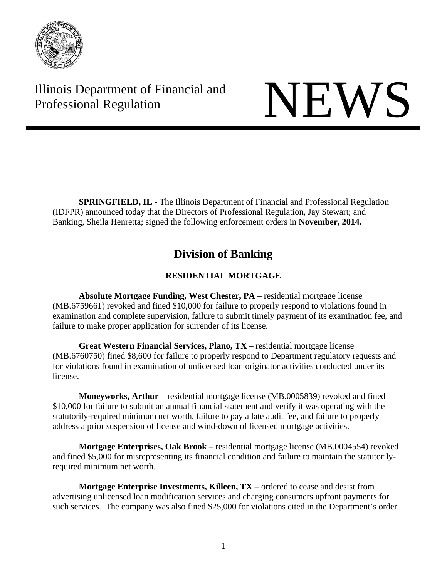

# Illinois Department of Financial and Illinois Department of Financial and<br>Professional Regulation

**SPRINGFIELD, IL** - The Illinois Department of Financial and Professional Regulation (IDFPR) announced today that the Directors of Professional Regulation, Jay Stewart; and Banking, Sheila Henretta; signed the following enforcement orders in **November, 2014.** 

# **Division of Banking**

# **RESIDENTIAL MORTGAGE**

 **Absolute Mortgage Funding, West Chester, PA** – residential mortgage license (MB.6759661) revoked and fined \$10,000 for failure to properly respond to violations found in examination and complete supervision, failure to submit timely payment of its examination fee, and failure to make proper application for surrender of its license.

 **Great Western Financial Services, Plano, TX** – residential mortgage license (MB.6760750) fined \$8,600 for failure to properly respond to Department regulatory requests and for violations found in examination of unlicensed loan originator activities conducted under its license.

**Moneyworks, Arthur** – residential mortgage license (MB.0005839) revoked and fined \$10,000 for failure to submit an annual financial statement and verify it was operating with the statutorily-required minimum net worth, failure to pay a late audit fee, and failure to properly address a prior suspension of license and wind-down of licensed mortgage activities.

 **Mortgage Enterprises, Oak Brook** – residential mortgage license (MB.0004554) revoked and fined \$5,000 for misrepresenting its financial condition and failure to maintain the statutorilyrequired minimum net worth.

**Mortgage Enterprise Investments, Killeen, TX** – ordered to cease and desist from advertising unlicensed loan modification services and charging consumers upfront payments for such services. The company was also fined \$25,000 for violations cited in the Department's order.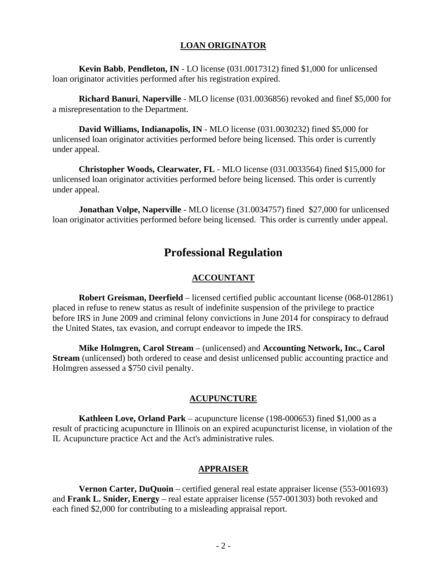#### **LOAN ORIGINATOR**

 **Kevin Babb**, **Pendleton, IN** - LO license (031.0017312) fined \$1,000 for unlicensed loan originator activities performed after his registration expired.

 **Richard Banuri**, **Naperville** - MLO license (031.0036856) revoked and finef \$5,000 for a misrepresentation to the Department.

 **David Williams, Indianapolis, IN** - MLO license (031.0030232) fined \$5,000 for unlicensed loan originator activities performed before being licensed. This order is currently under appeal.

 **Christopher Woods, Clearwater, FL** - MLO license (031.0033564) fined \$15,000 for unlicensed loan originator activities performed before being licensed. This order is currently under appeal.

 **Jonathan Volpe, Naperville** - MLO license (31.0034757) fined \$27,000 for unlicensed loan originator activities performed before being licensed. This order is currently under appeal.

# **Professional Regulation**

#### **ACCOUNTANT**

**Robert Greisman, Deerfield** – licensed certified public accountant license (068-012861) placed in refuse to renew status as result of indefinite suspension of the privilege to practice before IRS in June 2009 and criminal felony convictions in June 2014 for conspiracy to defraud the United States, tax evasion, and corrupt endeavor to impede the IRS.

**Mike Holmgren, Carol Stream** – (unlicensed) and **Accounting Network, Inc., Carol Stream** (unlicensed) both ordered to cease and desist unlicensed public accounting practice and Holmgren assessed a \$750 civil penalty.

#### **ACUPUNCTURE**

**Kathleen Love, Orland Park** – acupuncture license (198-000653) fined \$1,000 as a result of practicing acupuncture in Illinois on an expired acupuncturist license, in violation of the IL Acupuncture practice Act and the Act's administrative rules.

#### **APPRAISER**

**Vernon Carter, DuQuoin** – certified general real estate appraiser license (553-001693) and **Frank L. Snider, Energy** – real estate appraiser license (557-001303) both revoked and each fined \$2,000 for contributing to a misleading appraisal report.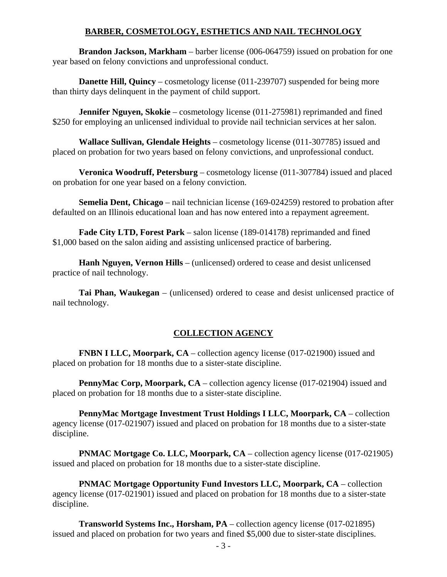### **BARBER, COSMETOLOGY, ESTHETICS AND NAIL TECHNOLOGY**

**Brandon Jackson, Markham** – barber license (006-064759) issued on probation for one year based on felony convictions and unprofessional conduct.

**Danette Hill, Quincy** – cosmetology license (011-239707) suspended for being more than thirty days delinquent in the payment of child support.

**Jennifer Nguyen, Skokie** – cosmetology license (011-275981) reprimanded and fined \$250 for employing an unlicensed individual to provide nail technician services at her salon.

**Wallace Sullivan, Glendale Heights** – cosmetology license (011-307785) issued and placed on probation for two years based on felony convictions, and unprofessional conduct.

**Veronica Woodruff, Petersburg** – cosmetology license (011-307784) issued and placed on probation for one year based on a felony conviction.

**Semelia Dent, Chicago** – nail technician license (169-024259) restored to probation after defaulted on an Illinois educational loan and has now entered into a repayment agreement.

**Fade City LTD, Forest Park** – salon license (189-014178) reprimanded and fined \$1,000 based on the salon aiding and assisting unlicensed practice of barbering.

**Hanh Nguyen, Vernon Hills** – (unlicensed) ordered to cease and desist unlicensed practice of nail technology.

**Tai Phan, Waukegan** – (unlicensed) ordered to cease and desist unlicensed practice of nail technology.

#### **COLLECTION AGENCY**

**FNBN I LLC, Moorpark, CA** – collection agency license (017-021900) issued and placed on probation for 18 months due to a sister-state discipline.

**PennyMac Corp, Moorpark, CA** – collection agency license (017-021904) issued and placed on probation for 18 months due to a sister-state discipline.

**PennyMac Mortgage Investment Trust Holdings I LLC, Moorpark, CA** – collection agency license (017-021907) issued and placed on probation for 18 months due to a sister-state discipline.

**PNMAC Mortgage Co. LLC, Moorpark, CA** – collection agency license (017-021905) issued and placed on probation for 18 months due to a sister-state discipline.

**PNMAC Mortgage Opportunity Fund Investors LLC, Moorpark, CA** – collection agency license (017-021901) issued and placed on probation for 18 months due to a sister-state discipline.

**Transworld Systems Inc., Horsham, PA** – collection agency license (017-021895) issued and placed on probation for two years and fined \$5,000 due to sister-state disciplines.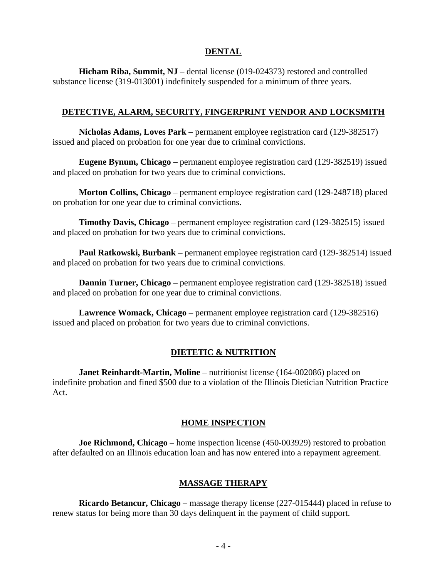#### **DENTAL**

**Hicham Riba, Summit, NJ** – dental license (019-024373) restored and controlled substance license (319-013001) indefinitely suspended for a minimum of three years.

#### **DETECTIVE, ALARM, SECURITY, FINGERPRINT VENDOR AND LOCKSMITH**

**Nicholas Adams, Loves Park** – permanent employee registration card (129-382517) issued and placed on probation for one year due to criminal convictions.

**Eugene Bynum, Chicago** – permanent employee registration card (129-382519) issued and placed on probation for two years due to criminal convictions.

**Morton Collins, Chicago** – permanent employee registration card (129-248718) placed on probation for one year due to criminal convictions.

**Timothy Davis, Chicago** – permanent employee registration card (129-382515) issued and placed on probation for two years due to criminal convictions.

**Paul Ratkowski, Burbank** – permanent employee registration card (129-382514) issued and placed on probation for two years due to criminal convictions.

**Dannin Turner, Chicago** – permanent employee registration card (129-382518) issued and placed on probation for one year due to criminal convictions.

**Lawrence Womack, Chicago** – permanent employee registration card (129-382516) issued and placed on probation for two years due to criminal convictions.

#### **DIETETIC & NUTRITION**

**Janet Reinhardt-Martin, Moline** – nutritionist license (164-002086) placed on indefinite probation and fined \$500 due to a violation of the Illinois Dietician Nutrition Practice Act.

#### **HOME INSPECTION**

**Joe Richmond, Chicago** – home inspection license (450-003929) restored to probation after defaulted on an Illinois education loan and has now entered into a repayment agreement.

#### **MASSAGE THERAPY**

**Ricardo Betancur, Chicago** – massage therapy license (227-015444) placed in refuse to renew status for being more than 30 days delinquent in the payment of child support.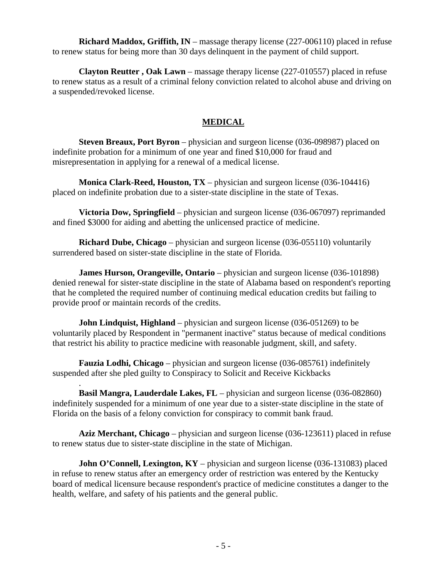**Richard Maddox, Griffith, IN** – massage therapy license (227-006110) placed in refuse to renew status for being more than 30 days delinquent in the payment of child support.

**Clayton Reutter , Oak Lawn** – massage therapy license (227-010557) placed in refuse to renew status as a result of a criminal felony conviction related to alcohol abuse and driving on a suspended/revoked license.

### **MEDICAL**

**Steven Breaux, Port Byron** – physician and surgeon license (036-098987) placed on indefinite probation for a minimum of one year and fined \$10,000 for fraud and misrepresentation in applying for a renewal of a medical license.

**Monica Clark-Reed, Houston, TX** – physician and surgeon license (036-104416) placed on indefinite probation due to a sister-state discipline in the state of Texas.

**Victoria Dow, Springfield** – physician and surgeon license (036-067097) reprimanded and fined \$3000 for aiding and abetting the unlicensed practice of medicine.

**Richard Dube, Chicago** – physician and surgeon license (036-055110) voluntarily surrendered based on sister-state discipline in the state of Florida.

**James Hurson, Orangeville, Ontario** – physician and surgeon license (036-101898) denied renewal for sister-state discipline in the state of Alabama based on respondent's reporting that he completed the required number of continuing medical education credits but failing to provide proof or maintain records of the credits.

**John Lindquist, Highland** – physician and surgeon license (036-051269) to be voluntarily placed by Respondent in "permanent inactive" status because of medical conditions that restrict his ability to practice medicine with reasonable judgment, skill, and safety.

**Fauzia Lodhi, Chicago** – physician and surgeon license (036-085761) indefinitely suspended after she pled guilty to Conspiracy to Solicit and Receive Kickbacks

. **Basil Mangra, Lauderdale Lakes, FL** – physician and surgeon license (036-082860) indefinitely suspended for a minimum of one year due to a sister-state discipline in the state of Florida on the basis of a felony conviction for conspiracy to commit bank fraud.

**Aziz Merchant, Chicago** – physician and surgeon license (036-123611) placed in refuse to renew status due to sister-state discipline in the state of Michigan.

**John O'Connell, Lexington, KY** – physician and surgeon license (036-131083) placed in refuse to renew status after an emergency order of restriction was entered by the Kentucky board of medical licensure because respondent's practice of medicine constitutes a danger to the health, welfare, and safety of his patients and the general public.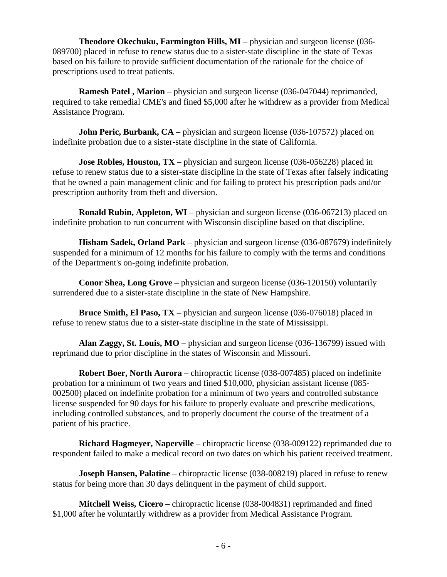**Theodore Okechuku, Farmington Hills, MI** – physician and surgeon license (036- 089700) placed in refuse to renew status due to a sister-state discipline in the state of Texas based on his failure to provide sufficient documentation of the rationale for the choice of prescriptions used to treat patients.

**Ramesh Patel , Marion** – physician and surgeon license (036-047044) reprimanded, required to take remedial CME's and fined \$5,000 after he withdrew as a provider from Medical Assistance Program.

**John Peric, Burbank, CA** – physician and surgeon license (036-107572) placed on indefinite probation due to a sister-state discipline in the state of California.

**Jose Robles, Houston, TX** – physician and surgeon license (036-056228) placed in refuse to renew status due to a sister-state discipline in the state of Texas after falsely indicating that he owned a pain management clinic and for failing to protect his prescription pads and/or prescription authority from theft and diversion.

**Ronald Rubin, Appleton, WI** – physician and surgeon license (036-067213) placed on indefinite probation to run concurrent with Wisconsin discipline based on that discipline.

**Hisham Sadek, Orland Park** – physician and surgeon license (036-087679) indefinitely suspended for a minimum of 12 months for his failure to comply with the terms and conditions of the Department's on-going indefinite probation.

**Conor Shea, Long Grove** – physician and surgeon license (036-120150) voluntarily surrendered due to a sister-state discipline in the state of New Hampshire.

**Bruce Smith, El Paso, TX** – physician and surgeon license (036-076018) placed in refuse to renew status due to a sister-state discipline in the state of Mississippi.

**Alan Zaggy, St. Louis, MO** – physician and surgeon license (036-136799) issued with reprimand due to prior discipline in the states of Wisconsin and Missouri.

**Robert Boer, North Aurora** – chiropractic license (038-007485) placed on indefinite probation for a minimum of two years and fined \$10,000, physician assistant license (085- 002500) placed on indefinite probation for a minimum of two years and controlled substance license suspended for 90 days for his failure to properly evaluate and prescribe medications, including controlled substances, and to properly document the course of the treatment of a patient of his practice.

**Richard Hagmeyer, Naperville** – chiropractic license (038-009122) reprimanded due to respondent failed to make a medical record on two dates on which his patient received treatment.

**Joseph Hansen, Palatine** – chiropractic license (038-008219) placed in refuse to renew status for being more than 30 days delinquent in the payment of child support.

**Mitchell Weiss, Cicero** – chiropractic license (038-004831) reprimanded and fined \$1,000 after he voluntarily withdrew as a provider from Medical Assistance Program.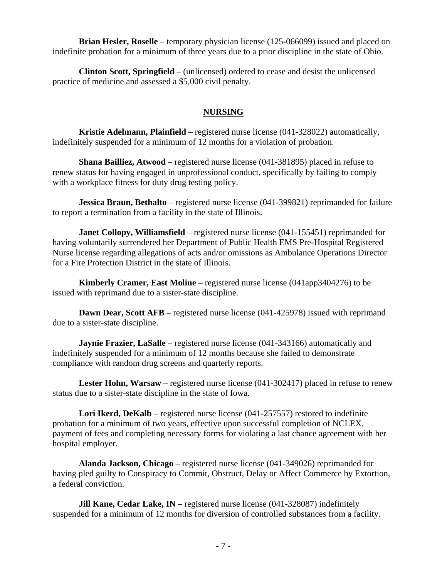**Brian Hesler, Roselle** – temporary physician license (125-066099) issued and placed on indefinite probation for a minimum of three years due to a prior discipline in the state of Ohio.

**Clinton Scott, Springfield** – (unlicensed) ordered to cease and desist the unlicensed practice of medicine and assessed a \$5,000 civil penalty.

#### **NURSING**

**Kristie Adelmann, Plainfield** – registered nurse license (041-328022) automatically, indefinitely suspended for a minimum of 12 months for a violation of probation.

**Shana Bailliez, Atwood** – registered nurse license (041-381895) placed in refuse to renew status for having engaged in unprofessional conduct, specifically by failing to comply with a workplace fitness for duty drug testing policy.

**Jessica Braun, Bethalto** – registered nurse license (041-399821) reprimanded for failure to report a termination from a facility in the state of Illinois.

**Janet Collopy, Williamsfield** – registered nurse license (041-155451) reprimanded for having voluntarily surrendered her Department of Public Health EMS Pre-Hospital Registered Nurse license regarding allegations of acts and/or omissions as Ambulance Operations Director for a Fire Protection District in the state of Illinois.

**Kimberly Cramer, East Moline** – registered nurse license (041app3404276) to be issued with reprimand due to a sister-state discipline.

**Dawn Dear, Scott AFB** – registered nurse license (041-425978) issued with reprimand due to a sister-state discipline.

**Jaynie Frazier, LaSalle** – registered nurse license (041-343166) automatically and indefinitely suspended for a minimum of 12 months because she failed to demonstrate compliance with random drug screens and quarterly reports.

**Lester Hohn, Warsaw** – registered nurse license (041-302417) placed in refuse to renew status due to a sister-state discipline in the state of Iowa.

**Lori Ikerd, DeKalb** – registered nurse license (041-257557) restored to indefinite probation for a minimum of two years, effective upon successful completion of NCLEX, payment of fees and completing necessary forms for violating a last chance agreement with her hospital employer.

**Alanda Jackson, Chicago** – registered nurse license (041-349026) reprimanded for having pled guilty to Conspiracy to Commit, Obstruct, Delay or Affect Commerce by Extortion, a federal conviction.

**Jill Kane, Cedar Lake, IN** – registered nurse license (041-328087) indefinitely suspended for a minimum of 12 months for diversion of controlled substances from a facility.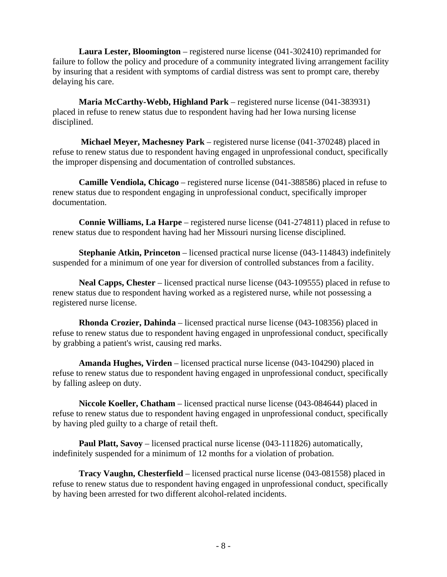**Laura Lester, Bloomington** – registered nurse license (041-302410) reprimanded for failure to follow the policy and procedure of a community integrated living arrangement facility by insuring that a resident with symptoms of cardial distress was sent to prompt care, thereby delaying his care.

**Maria McCarthy-Webb, Highland Park** – registered nurse license (041-383931) placed in refuse to renew status due to respondent having had her Iowa nursing license disciplined.

 **Michael Meyer, Machesney Park** – registered nurse license (041-370248) placed in refuse to renew status due to respondent having engaged in unprofessional conduct, specifically the improper dispensing and documentation of controlled substances.

**Camille Vendiola, Chicago** – registered nurse license (041-388586) placed in refuse to renew status due to respondent engaging in unprofessional conduct, specifically improper documentation.

**Connie Williams, La Harpe** – registered nurse license (041-274811) placed in refuse to renew status due to respondent having had her Missouri nursing license disciplined.

**Stephanie Atkin, Princeton** – licensed practical nurse license (043-114843) indefinitely suspended for a minimum of one year for diversion of controlled substances from a facility.

**Neal Capps, Chester** – licensed practical nurse license (043-109555) placed in refuse to renew status due to respondent having worked as a registered nurse, while not possessing a registered nurse license.

**Rhonda Crozier, Dahinda** – licensed practical nurse license (043-108356) placed in refuse to renew status due to respondent having engaged in unprofessional conduct, specifically by grabbing a patient's wrist, causing red marks.

**Amanda Hughes, Virden** – licensed practical nurse license (043-104290) placed in refuse to renew status due to respondent having engaged in unprofessional conduct, specifically by falling asleep on duty.

**Niccole Koeller, Chatham** – licensed practical nurse license (043-084644) placed in refuse to renew status due to respondent having engaged in unprofessional conduct, specifically by having pled guilty to a charge of retail theft.

**Paul Platt, Savoy** – licensed practical nurse license (043-111826) automatically, indefinitely suspended for a minimum of 12 months for a violation of probation.

**Tracy Vaughn, Chesterfield** – licensed practical nurse license (043-081558) placed in refuse to renew status due to respondent having engaged in unprofessional conduct, specifically by having been arrested for two different alcohol-related incidents.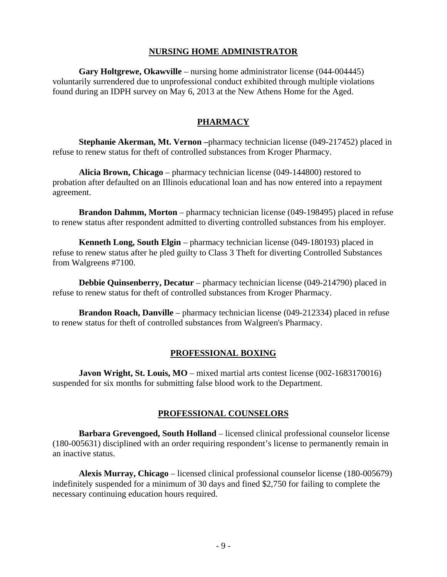#### **NURSING HOME ADMINISTRATOR**

**Gary Holtgrewe, Okawville** – nursing home administrator license (044-004445) voluntarily surrendered due to unprofessional conduct exhibited through multiple violations found during an IDPH survey on May 6, 2013 at the New Athens Home for the Aged.

### **PHARMACY**

**Stephanie Akerman, Mt. Vernon –**pharmacy technician license (049-217452) placed in refuse to renew status for theft of controlled substances from Kroger Pharmacy.

**Alicia Brown, Chicago** – pharmacy technician license (049-144800) restored to probation after defaulted on an Illinois educational loan and has now entered into a repayment agreement.

**Brandon Dahmm, Morton** – pharmacy technician license (049-198495) placed in refuse to renew status after respondent admitted to diverting controlled substances from his employer.

**Kenneth Long, South Elgin** – pharmacy technician license (049-180193) placed in refuse to renew status after he pled guilty to Class 3 Theft for diverting Controlled Substances from Walgreens #7100.

**Debbie Quinsenberry, Decatur** – pharmacy technician license (049-214790) placed in refuse to renew status for theft of controlled substances from Kroger Pharmacy.

**Brandon Roach, Danville** – pharmacy technician license (049-212334) placed in refuse to renew status for theft of controlled substances from Walgreen's Pharmacy.

#### **PROFESSIONAL BOXING**

**Javon Wright, St. Louis, MO** – mixed martial arts contest license (002-1683170016) suspended for six months for submitting false blood work to the Department.

#### **PROFESSIONAL COUNSELORS**

**Barbara Grevengoed, South Holland** – licensed clinical professional counselor license (180-005631) disciplined with an order requiring respondent's license to permanently remain in an inactive status.

**Alexis Murray, Chicago** – licensed clinical professional counselor license (180-005679) indefinitely suspended for a minimum of 30 days and fined \$2,750 for failing to complete the necessary continuing education hours required.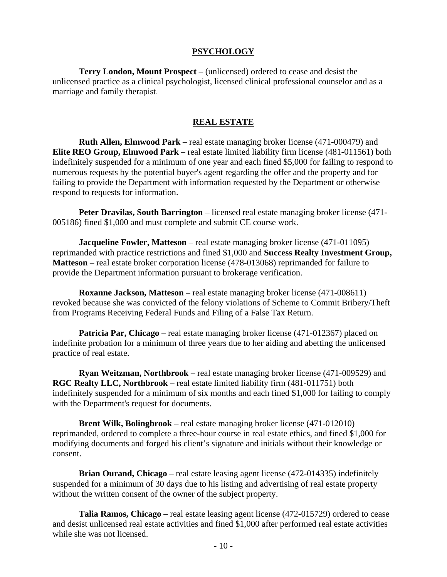#### **PSYCHOLOGY**

**Terry London, Mount Prospect** – (unlicensed) ordered to cease and desist the unlicensed practice as a clinical psychologist, licensed clinical professional counselor and as a marriage and family therapist.

#### **REAL ESTATE**

**Ruth Allen, Elmwood Park** – real estate managing broker license (471-000479) and **Elite REO Group, Elmwood Park** – real estate limited liability firm license (481-011561) both indefinitely suspended for a minimum of one year and each fined \$5,000 for failing to respond to numerous requests by the potential buyer's agent regarding the offer and the property and for failing to provide the Department with information requested by the Department or otherwise respond to requests for information.

**Peter Dravilas, South Barrington** – licensed real estate managing broker license (471- 005186) fined \$1,000 and must complete and submit CE course work.

**Jacqueline Fowler, Matteson** – real estate managing broker license (471-011095) reprimanded with practice restrictions and fined \$1,000 and **Success Realty Investment Group, Matteson** – real estate broker corporation license (478-013068) reprimanded for failure to provide the Department information pursuant to brokerage verification.

**Roxanne Jackson, Matteson** – real estate managing broker license (471-008611) revoked because she was convicted of the felony violations of Scheme to Commit Bribery/Theft from Programs Receiving Federal Funds and Filing of a False Tax Return.

**Patricia Par, Chicago** – real estate managing broker license (471-012367) placed on indefinite probation for a minimum of three years due to her aiding and abetting the unlicensed practice of real estate.

**Ryan Weitzman, Northbrook** – real estate managing broker license (471-009529) and **RGC Realty LLC, Northbrook** – real estate limited liability firm (481-011751) both indefinitely suspended for a minimum of six months and each fined \$1,000 for failing to comply with the Department's request for documents.

**Brent Wilk, Bolingbrook** – real estate managing broker license (471-012010) reprimanded, ordered to complete a three-hour course in real estate ethics, and fined \$1,000 for modifying documents and forged his client's signature and initials without their knowledge or consent.

**Brian Ourand, Chicago** – real estate leasing agent license (472-014335) indefinitely suspended for a minimum of 30 days due to his listing and advertising of real estate property without the written consent of the owner of the subject property.

**Talia Ramos, Chicago** – real estate leasing agent license (472-015729) ordered to cease and desist unlicensed real estate activities and fined \$1,000 after performed real estate activities while she was not licensed.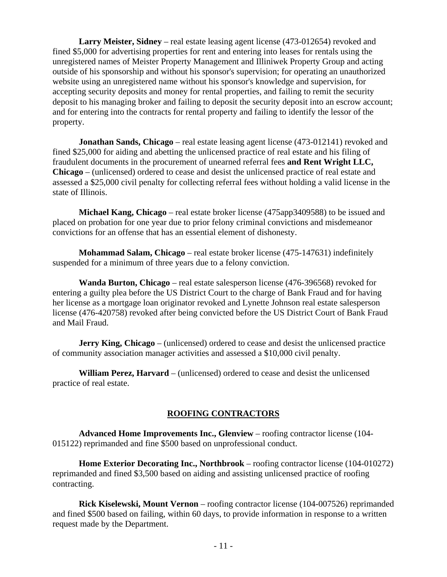**Larry Meister, Sidney** – real estate leasing agent license (473-012654) revoked and fined \$5,000 for advertising properties for rent and entering into leases for rentals using the unregistered names of Meister Property Management and Illiniwek Property Group and acting outside of his sponsorship and without his sponsor's supervision; for operating an unauthorized website using an unregistered name without his sponsor's knowledge and supervision, for accepting security deposits and money for rental properties, and failing to remit the security deposit to his managing broker and failing to deposit the security deposit into an escrow account; and for entering into the contracts for rental property and failing to identify the lessor of the property.

**Jonathan Sands, Chicago** – real estate leasing agent license (473-012141) revoked and fined \$25,000 for aiding and abetting the unlicensed practice of real estate and his filing of fraudulent documents in the procurement of unearned referral fees **and Rent Wright LLC, Chicago** – (unlicensed) ordered to cease and desist the unlicensed practice of real estate and assessed a \$25,000 civil penalty for collecting referral fees without holding a valid license in the state of Illinois.

**Michael Kang, Chicago** – real estate broker license (475app3409588) to be issued and placed on probation for one year due to prior felony criminal convictions and misdemeanor convictions for an offense that has an essential element of dishonesty.

**Mohammad Salam, Chicago** – real estate broker license (475-147631) indefinitely suspended for a minimum of three years due to a felony conviction.

**Wanda Burton, Chicago** – real estate salesperson license (476-396568) revoked for entering a guilty plea before the US District Court to the charge of Bank Fraud and for having her license as a mortgage loan originator revoked and Lynette Johnson real estate salesperson license (476-420758) revoked after being convicted before the US District Court of Bank Fraud and Mail Fraud.

**Jerry King, Chicago** – (unlicensed) ordered to cease and desist the unlicensed practice of community association manager activities and assessed a \$10,000 civil penalty.

**William Perez, Harvard** – (unlicensed) ordered to cease and desist the unlicensed practice of real estate.

#### **ROOFING CONTRACTORS**

**Advanced Home Improvements Inc., Glenview** – roofing contractor license (104- 015122) reprimanded and fine \$500 based on unprofessional conduct.

**Home Exterior Decorating Inc., Northbrook** – roofing contractor license (104-010272) reprimanded and fined \$3,500 based on aiding and assisting unlicensed practice of roofing contracting.

**Rick Kiselewski, Mount Vernon** – roofing contractor license (104-007526) reprimanded and fined \$500 based on failing, within 60 days, to provide information in response to a written request made by the Department.